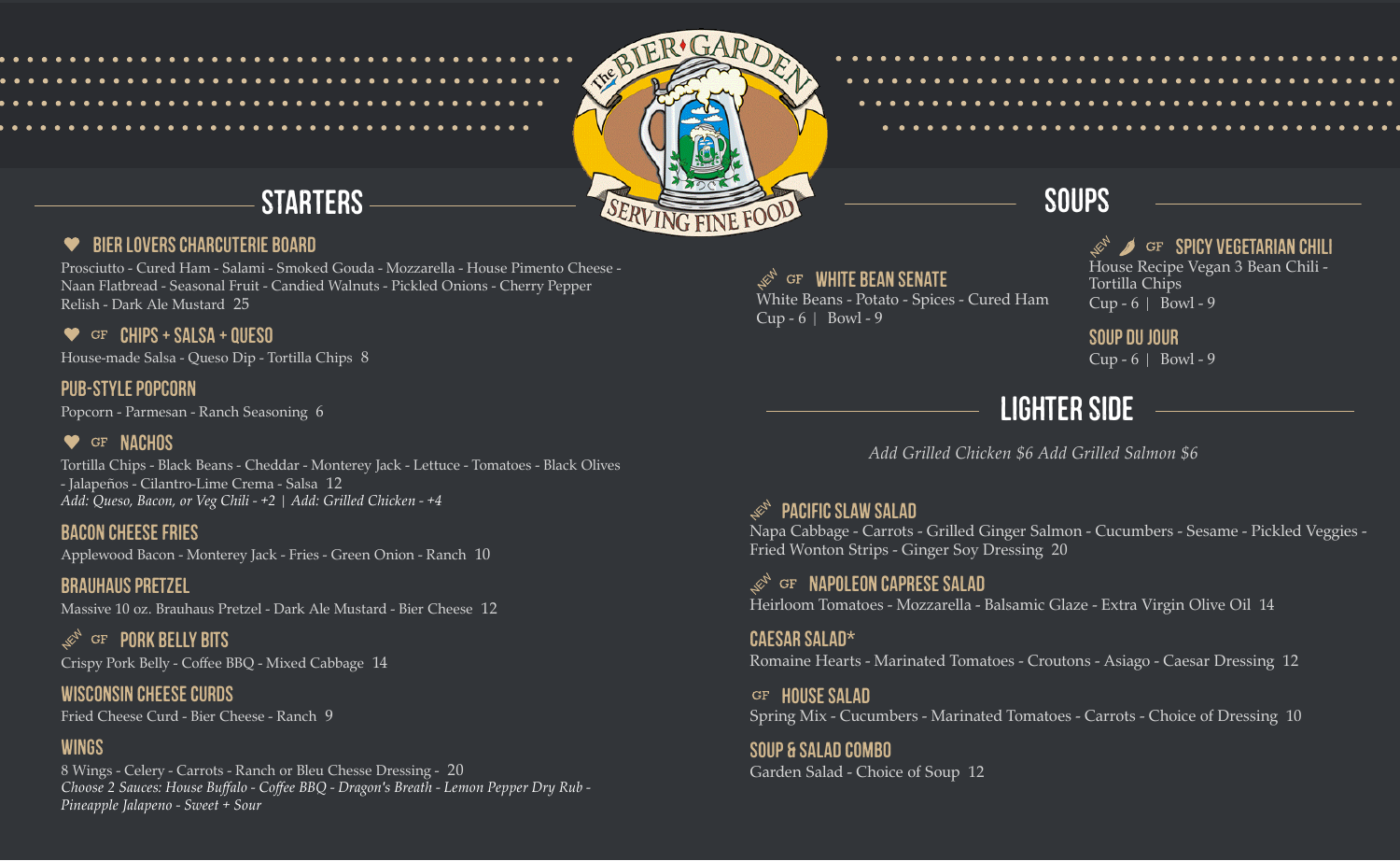

#### BIER LOVERSCHARCUTERIE BOARD ❤

Prosciutto - Cured Ham - Salami - Smoked Gouda - Mozzarella - House Pimento Cheese - Naan Flatbread - Seasonal Fruit - Candied Walnuts - Pickled Onions - Cherry Pepper Relish - Dark Ale Mustard 25

### $\bullet$  GF CHIPS + SALSA + OUESO

House-made Salsa - Queso Dip - Tortilla Chips 8

### PUB-STYLE POPCORN

Popcorn - Parmesan - Ranch Seasoning 6

### **W** GF NACHOS

Tortilla Chips - Black Beans - Cheddar - Monterey Jack - Lettuce - Tomatoes - Black Olives - Jalapeños - Cilantro-Lime Crema - Salsa 12 *Add: Queso, Bacon, or Veg Chili - +2 | Add: Grilled Chicken - +4*

### **BACON CHEESE FRIES**

Applewood Bacon - Monterey Jack - Fries - Green Onion - Ranch 10

### **BRAUHAUS PRETZEL** Massive 10 oz. Brauhaus Pretzel - Dark Ale Mustard - Bier Cheese 12

GF PORK BELLY BITS **RAN** Crispy Pork Belly - Coffee BBQ - Mixed Cabbage 14

## WISCONSIN CHEESE CURDS

Fried Cheese Curd - Bier Cheese - Ranch 9

### WINGS

8 Wings - Celery - Carrots - Ranch or Bleu Chesse Dressing - 20 *Choose 2 Sauces: House Buffalo - Coffee BBQ - Dragon's Breath - Lemon Pepper Dry Rub - Pineapple Jalapeno - Sweet + Sour*

**GF WHITE BEAN SENATE** White Beans - Potato - Spices - Cured Ham Cup -  $6$  | Bowl - 9

### $\mathscr{B}$  GF SPICY VEGETARIAN CHILI House Recipe Vegan 3 Bean Chili - Tortilla Chips Cup -  $6$  | Bowl - 9

SOUP DUJOUR Cup -  $6 \mid$  Bowl - 9

# LIGHTER SIDE

*Add Grilled Chicken \$6 Add Grilled Salmon \$6*

#### **PACIFIC SLAW SALAD** ACA

Napa Cabbage - Carrots - Grilled Ginger Salmon - Cucumbers - Sesame - Pickled Veggies - Fried Wonton Strips - Ginger Soy Dressing 20

GF NAPOLEON CAPRESE SALAD 大门 Heirloom Tomatoes - Mozzarella - Balsamic Glaze - Extra Virgin Olive Oil 14

CAESAR SALAD\* Romaine Hearts - Marinated Tomatoes - Croutons - Asiago - Caesar Dressing 12

GF HOUSE SALAD Spring Mix - Cucumbers - Marinated Tomatoes - Carrots - Choice of Dressing 10

SOUP & SALAD COMBO Garden Salad - Choice of Soup 12